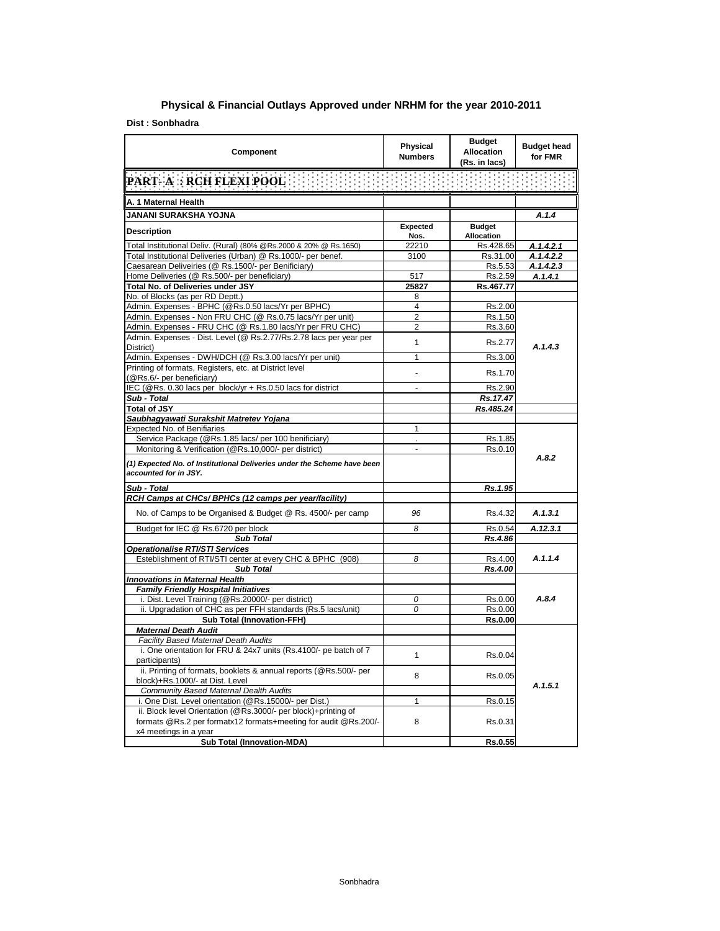## **Physical & Financial Outlays Approved under NRHM for the year 2010-2011**

**Dist : Sonbhadra**

| Component                                                                                                        | <b>Physical</b><br><b>Numbers</b> | <b>Budget</b><br><b>Allocation</b><br>(Rs. in lacs) | <b>Budget head</b><br>for FMR |
|------------------------------------------------------------------------------------------------------------------|-----------------------------------|-----------------------------------------------------|-------------------------------|
| <b>PART- A: RCH FLEXI POOL</b>                                                                                   | 电电阻电阻电阻电阻电阻电阻                     |                                                     |                               |
| A. 1 Maternal Health                                                                                             |                                   |                                                     |                               |
| JANANI SURAKSHA YOJNA                                                                                            |                                   |                                                     | A.1.4                         |
|                                                                                                                  | <b>Expected</b>                   | <b>Budget</b>                                       |                               |
| <b>Description</b>                                                                                               | Nos.                              | Allocation                                          |                               |
| Total Institutional Deliv. (Rural) (80% @Rs.2000 & 20% @ Rs.1650)                                                | 22210                             | Rs.428.65                                           | A.1.4.2.1                     |
| Total Institutional Deliveries (Urban) @ Rs.1000/- per benef.                                                    | 3100                              | Rs.31.00                                            | A.1.4.2.2                     |
| Caesarean Deliveiries (@ Rs.1500/- per Benificiary)                                                              |                                   | Rs.5.53                                             | A.1.4.2.3                     |
| Home Deliveries (@ Rs.500/- per beneficiary)                                                                     | 517                               | Rs.2.59                                             | A.1.4.1                       |
| Total No. of Deliveries under JSY                                                                                | 25827                             | Rs.467.77                                           |                               |
| No. of Blocks (as per RD Deptt.)                                                                                 | 8<br>4                            |                                                     |                               |
| Admin. Expenses - BPHC (@Rs.0.50 lacs/Yr per BPHC)<br>Admin. Expenses - Non FRU CHC (@ Rs.0.75 lacs/Yr per unit) | $\overline{2}$                    | Rs.2.00                                             |                               |
| Admin. Expenses - FRU CHC (@ Rs.1.80 lacs/Yr per FRU CHC)                                                        | 2                                 | Rs.1.50                                             |                               |
| Admin. Expenses - Dist. Level (@ Rs.2.77/Rs.2.78 lacs per year per                                               |                                   | Rs.3.60                                             |                               |
| District)                                                                                                        | 1                                 | Rs.2.77                                             | A.1.4.3                       |
| Admin. Expenses - DWH/DCH (@ Rs.3.00 lacs/Yr per unit)                                                           | 1                                 | Rs.3.00                                             |                               |
| Printing of formats, Registers, etc. at District level                                                           |                                   |                                                     |                               |
| (@Rs.6/- per beneficiary)                                                                                        |                                   | Rs.1.70                                             |                               |
| IEC (@Rs. 0.30 lacs per block/yr + Rs.0.50 lacs for district                                                     | L.                                | Rs.2.90                                             |                               |
| Sub - Total                                                                                                      |                                   | Rs.17.47                                            |                               |
| <b>Total of JSY</b>                                                                                              |                                   | Rs.485.24                                           |                               |
| Saubhagyawati Surakshit Matretev Yojana                                                                          |                                   |                                                     |                               |
| Expected No. of Benifiaries                                                                                      | 1                                 |                                                     |                               |
| Service Package (@Rs.1.85 lacs/ per 100 benificiary)                                                             |                                   | Rs.1.85                                             |                               |
| Monitoring & Verification (@Rs.10,000/- per district)                                                            | ÷,                                | Rs.0.10                                             |                               |
| (1) Expected No. of Institutional Deliveries under the Scheme have been<br>accounted for in JSY.                 |                                   |                                                     | A.8.2                         |
| Sub - Total                                                                                                      |                                   | Rs.1.95                                             |                               |
| RCH Camps at CHCs/ BPHCs (12 camps per year/facility)                                                            |                                   |                                                     |                               |
| No. of Camps to be Organised & Budget @ Rs. 4500/- per camp                                                      | 96                                | Rs.4.32                                             | A.1.3.1                       |
| Budget for IEC @ Rs.6720 per block                                                                               | 8                                 | Rs.0.54                                             | A.12.3.1                      |
| <b>Sub Total</b>                                                                                                 |                                   | Rs.4.86                                             |                               |
| <b>Operationalise RTI/STI Services</b>                                                                           |                                   |                                                     |                               |
| Esteblishment of RTI/STI center at every CHC & BPHC (908)                                                        | 8                                 | Rs.4.00                                             | A.1.1.4                       |
| Sub Total                                                                                                        |                                   | Rs.4.00                                             |                               |
| <b>Innovations in Maternal Health</b>                                                                            |                                   |                                                     |                               |
| <b>Family Friendly Hospital Initiatives</b>                                                                      |                                   |                                                     |                               |
| i. Dist. Level Training (@Rs.20000/- per district)                                                               | 0                                 | Rs.0.00                                             | A.8.4                         |
| ii. Upgradation of CHC as per FFH standards (Rs.5 lacs/unit)                                                     | 0                                 | Rs.0.00                                             |                               |
| <b>Sub Total (Innovation-FFH)</b>                                                                                |                                   | Rs.0.00                                             |                               |
| <b>Maternal Death Audit</b>                                                                                      |                                   |                                                     |                               |
| Facility Based Maternal Death Audits                                                                             |                                   |                                                     |                               |
| i. One orientation for FRU & 24x7 units (Rs.4100/- pe batch of 7                                                 | $\mathbf{1}$                      | Rs.0.04                                             |                               |
| participants)                                                                                                    |                                   |                                                     |                               |
| ii. Printing of formats, booklets & annual reports (@Rs.500/- per<br>block)+Rs.1000/- at Dist. Level             | 8                                 | Rs.0.05                                             |                               |
| Community Based Maternal Dealth Audits                                                                           |                                   |                                                     | A.1.5.1                       |
| i. One Dist. Level orientation (@Rs.15000/- per Dist.)                                                           | 1                                 | Rs.0.15                                             |                               |
| ii. Block level Orientation (@Rs.3000/- per block)+printing of                                                   |                                   |                                                     |                               |
| formats @Rs.2 per formatx12 formats+meeting for audit @Rs.200/-                                                  | 8                                 | Rs.0.31                                             |                               |
| x4 meetings in a year                                                                                            |                                   |                                                     |                               |
| <b>Sub Total (Innovation-MDA)</b>                                                                                |                                   | Rs.0.55                                             |                               |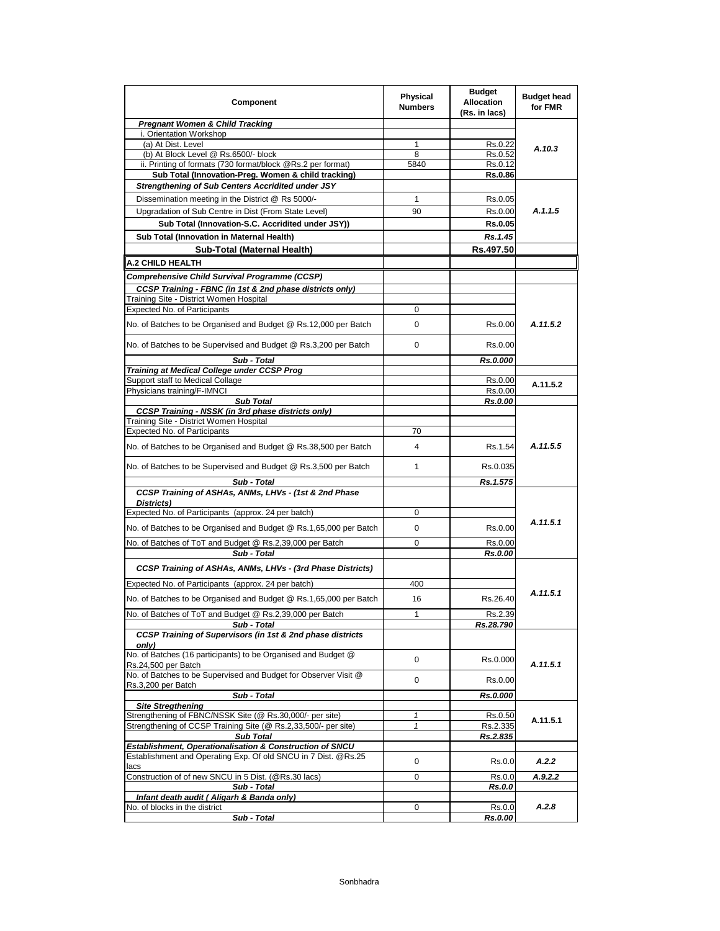| Component                                                                                           | <b>Physical</b><br><b>Numbers</b> | <b>Budget</b><br><b>Allocation</b><br>(Rs. in lacs) | <b>Budget head</b><br>for FMR |
|-----------------------------------------------------------------------------------------------------|-----------------------------------|-----------------------------------------------------|-------------------------------|
| <b>Pregnant Women &amp; Child Tracking</b>                                                          |                                   |                                                     |                               |
| i. Orientation Workshop                                                                             |                                   |                                                     |                               |
| (a) At Dist. Level                                                                                  | 1                                 | Rs.0.22                                             | A.10.3                        |
| (b) At Block Level @ Rs.6500/- block<br>ii. Printing of formats (730 format/block @Rs.2 per format) | 8<br>5840                         | Rs.0.52<br>Rs.0.12                                  |                               |
| Sub Total (Innovation-Preg. Women & child tracking)                                                 |                                   | <b>Rs.0.86</b>                                      |                               |
| Strengthening of Sub Centers Accridited under JSY                                                   |                                   |                                                     |                               |
| Dissemination meeting in the District @ Rs 5000/-                                                   | 1                                 | Rs.0.05                                             |                               |
| Upgradation of Sub Centre in Dist (From State Level)                                                | 90                                | Rs.0.00                                             | A.1.1.5                       |
| Sub Total (Innovation-S.C. Accridited under JSY))                                                   |                                   | <b>Rs.0.05</b>                                      |                               |
| Sub Total (Innovation in Maternal Health)                                                           |                                   | Rs.1.45                                             |                               |
| Sub-Total (Maternal Health)                                                                         |                                   | Rs.497.50                                           |                               |
| <b>A.2 CHILD HEALTH</b>                                                                             |                                   |                                                     |                               |
|                                                                                                     |                                   |                                                     |                               |
| Comprehensive Child Survival Programme (CCSP)                                                       |                                   |                                                     |                               |
| CCSP Training - FBNC (in 1st & 2nd phase districts only)<br>Training Site - District Women Hospital |                                   |                                                     |                               |
| Expected No. of Participants                                                                        | 0                                 |                                                     |                               |
| No. of Batches to be Organised and Budget @ Rs.12,000 per Batch                                     | 0                                 | Rs.0.00                                             | A.11.5.2                      |
|                                                                                                     |                                   |                                                     |                               |
| No. of Batches to be Supervised and Budget @ Rs.3,200 per Batch                                     | 0                                 | Rs.0.00                                             |                               |
| Sub - Total                                                                                         |                                   | Rs.0.000                                            |                               |
| Training at Medical College under CCSP Prog                                                         |                                   |                                                     |                               |
| Support staff to Medical Collage<br>Physicians training/F-IMNCI                                     |                                   | Rs.0.00<br>Rs.0.00                                  | A.11.5.2                      |
| <b>Sub Total</b>                                                                                    |                                   | Rs.0.00                                             |                               |
| <b>CCSP Training - NSSK (in 3rd phase districts only)</b>                                           |                                   |                                                     |                               |
| Training Site - District Women Hospital                                                             |                                   |                                                     |                               |
| Expected No. of Participants                                                                        | 70                                |                                                     |                               |
| No. of Batches to be Organised and Budget @ Rs.38,500 per Batch                                     | 4                                 | Rs.1.54                                             | A.11.5.5                      |
| No. of Batches to be Supervised and Budget @ Rs.3,500 per Batch                                     | 1                                 | Rs.0.035                                            |                               |
| Sub - Total                                                                                         |                                   | Rs.1.575                                            |                               |
| CCSP Training of ASHAs, ANMs, LHVs - (1st & 2nd Phase                                               |                                   |                                                     |                               |
| Districts)<br>Expected No. of Participants (approx. 24 per batch)                                   | 0                                 |                                                     |                               |
| No. of Batches to be Organised and Budget @ Rs.1,65,000 per Batch                                   | 0                                 | Rs.0.00                                             | A.11.5.1                      |
| No. of Batches of ToT and Budget @ Rs.2,39,000 per Batch                                            | 0                                 | Rs.0.00                                             |                               |
| Sub - Total                                                                                         |                                   | Rs.0.00                                             |                               |
| CCSP Training of ASHAs, ANMs, LHVs - (3rd Phase Districts)                                          |                                   |                                                     |                               |
| Expected No. of Participants (approx. 24 per batch)                                                 | 400                               |                                                     |                               |
| No. of Batches to be Organised and Budget @ Rs.1,65,000 per Batch                                   | 16                                | Rs.26.40                                            | A.11.5.1                      |
| No. of Batches of ToT and Budget @ Rs.2,39,000 per Batch                                            |                                   | Rs.2.39                                             |                               |
| Sub - Total                                                                                         |                                   | Rs.28.790                                           |                               |
| CCSP Training of Supervisors (in 1st & 2nd phase districts<br>only)                                 |                                   |                                                     |                               |
| No. of Batches (16 participants) to be Organised and Budget @<br>Rs.24,500 per Batch                | 0                                 | Rs.0.000                                            | A.11.5.1                      |
| No. of Batches to be Supervised and Budget for Observer Visit @                                     | 0                                 | Rs.0.00                                             |                               |
| Rs.3,200 per Batch<br>Sub - Total                                                                   |                                   | Rs.0.000                                            |                               |
| <b>Site Stregthening</b>                                                                            |                                   |                                                     |                               |
| Strengthening of FBNC/NSSK Site (@ Rs.30,000/- per site)                                            | 1                                 | Rs.0.50                                             | A.11.5.1                      |
| Strengthening of CCSP Training Site (@ Rs.2,33,500/- per site)                                      | 1                                 | Rs.2.335                                            |                               |
| <b>Sub Total</b><br>Establishment, Operationalisation & Construction of SNCU                        |                                   | Rs.2.835                                            |                               |
| Establishment and Operating Exp. Of old SNCU in 7 Dist. @Rs.25                                      | 0                                 | Rs.0.0                                              | A.2.2                         |
| lacs<br>Construction of of new SNCU in 5 Dist. (@Rs.30 lacs)                                        | 0                                 | Rs.0.0                                              | A.9.2.2                       |
| Sub - Total                                                                                         |                                   | Rs.0.0                                              |                               |
| Infant death audit ( Aligarh & Banda only)                                                          |                                   |                                                     |                               |
| No. of blocks in the district                                                                       | 0                                 | Rs.0.0                                              | A.2.8                         |
| Sub - Total                                                                                         |                                   | Rs.0.00                                             |                               |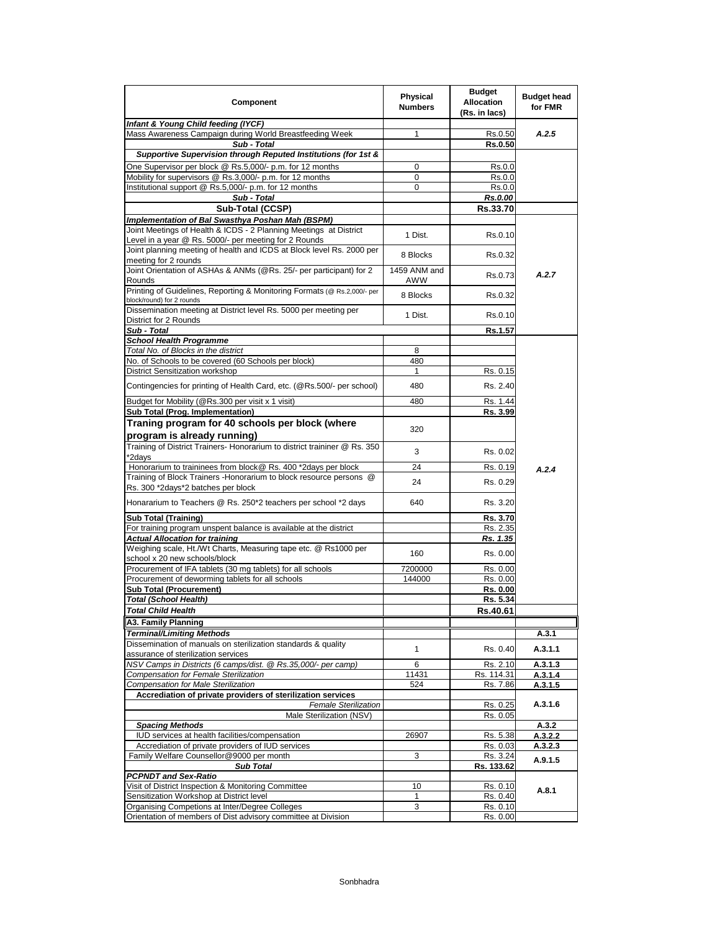| Component                                                                                                                  | Physical<br><b>Numbers</b> | <b>Budget</b><br><b>Allocation</b><br>(Rs. in lacs) | <b>Budget head</b><br>for FMR |
|----------------------------------------------------------------------------------------------------------------------------|----------------------------|-----------------------------------------------------|-------------------------------|
| Infant & Young Child feeding (IYCF)                                                                                        |                            |                                                     |                               |
| Mass Awareness Campaign during World Breastfeeding Week<br>Sub - Total                                                     | 1                          | Rs.0.50<br>Rs.0.50                                  | A.2.5                         |
| Supportive Supervision through Reputed Institutions (for 1st &                                                             |                            |                                                     |                               |
| One Supervisor per block @ Rs.5,000/- p.m. for 12 months                                                                   | 0                          | Rs.0.0                                              |                               |
| Mobility for supervisors @ Rs.3,000/- p.m. for 12 months                                                                   | 0                          | Rs.0.0                                              |                               |
| Institutional support @ Rs.5,000/- p.m. for 12 months                                                                      | 0                          | Rs.0.0                                              |                               |
| Sub - Total                                                                                                                |                            | Rs.0.00                                             |                               |
| Sub-Total (CCSP)                                                                                                           |                            | Rs.33.70                                            |                               |
| Implementation of Bal Swasthya Poshan Mah (BSPM)                                                                           |                            |                                                     |                               |
| Joint Meetings of Health & ICDS - 2 Planning Meetings at District<br>Level in a year @ Rs. 5000/- per meeting for 2 Rounds | 1 Dist.                    | Rs.0.10                                             |                               |
| Joint planning meeting of health and ICDS at Block level Rs. 2000 per<br>meeting for 2 rounds                              | 8 Blocks                   | Rs.0.32                                             |                               |
| Joint Orientation of ASHAs & ANMs (@Rs. 25/- per participant) for 2<br>Rounds                                              | 1459 ANM and<br>AWW        | Rs.0.73                                             | A.2.7                         |
| Printing of Guidelines, Reporting & Monitoring Formats (@ Rs.2,000/- per<br>block/round) for 2 rounds                      | 8 Blocks                   | Rs.0.32                                             |                               |
| Dissemination meeting at District level Rs. 5000 per meeting per<br>District for 2 Rounds                                  | 1 Dist.                    | Rs.0.10                                             |                               |
| Sub - Total                                                                                                                |                            | Rs.1.57                                             |                               |
| <b>School Health Programme</b>                                                                                             |                            |                                                     |                               |
| Total No. of Blocks in the district                                                                                        | 8                          |                                                     |                               |
| No. of Schools to be covered (60 Schools per block)                                                                        | 480                        |                                                     |                               |
| District Sensitization workshop                                                                                            | 1                          | Rs. 0.15                                            |                               |
| Contingencies for printing of Health Card, etc. (@Rs.500/- per school)                                                     | 480                        | Rs. 2.40                                            |                               |
| Budget for Mobility (@Rs.300 per visit x 1 visit)                                                                          | 480                        | Rs. 1.44                                            |                               |
| Sub Total (Prog. Implementation)                                                                                           |                            | Rs. 3.99                                            |                               |
| Traning program for 40 schools per block (where<br>program is already running)                                             | 320                        |                                                     |                               |
| Training of District Trainers- Honorarium to district traininer @ Rs. 350<br>*2days                                        | 3                          | Rs. 0.02                                            |                               |
| Honorarium to traininees from block@ Rs. 400 *2days per block                                                              | 24                         | Rs. 0.19                                            | A.2.4                         |
| Training of Block Trainers - Honorarium to block resource persons @<br>Rs. 300 *2days*2 batches per block                  | 24                         | Rs. 0.29                                            |                               |
| Honararium to Teachers @ Rs. 250*2 teachers per school *2 days                                                             | 640                        | Rs. 3.20                                            |                               |
| <b>Sub Total (Training)</b>                                                                                                |                            | Rs. 3.70                                            |                               |
| For training program unspent balance is available at the district                                                          |                            | Rs. 2.35                                            |                               |
| <b>Actual Allocation for training</b>                                                                                      |                            | Rs. 1.35                                            |                               |
| Weighing scale, Ht./Wt Charts, Measuring tape etc. @ Rs1000 per                                                            | 160                        | Rs. 0.00                                            |                               |
| school x 20 new schools/block                                                                                              |                            |                                                     |                               |
| Procurement of IFA tablets (30 mg tablets) for all schools                                                                 | 7200000                    | Rs. 0.00                                            |                               |
| Procurement of deworming tablets for all schools                                                                           | 144000                     | Rs. 0.00                                            |                               |
| Sub Total (Procurement)                                                                                                    |                            | Rs. 0.00                                            |                               |
| Total (School Health)                                                                                                      |                            | Rs. 5.34                                            |                               |
| <b>Total Child Health</b>                                                                                                  |                            | Rs.40.61                                            |                               |
| <b>A3. Family Planning</b>                                                                                                 |                            |                                                     |                               |
| Terminal/Limiting Methods                                                                                                  |                            |                                                     | A.3.1                         |
| Dissemination of manuals on sterilization standards & quality<br>assurance of sterilization services                       | 1                          | Rs. 0.40                                            | A.3.1.1                       |
| NSV Camps in Districts (6 camps/dist. @ Rs.35,000/- per camp)                                                              | 6                          | Rs. 2.10                                            | A.3.1.3                       |
| Compensation for Female Sterilization                                                                                      | 11431                      | Rs. 114.31                                          | A.3.1.4                       |
| Compensation for Male Sterilization                                                                                        | 524                        | Rs. 7.86                                            | A.3.1.5                       |
| Accrediation of private providers of sterilization services<br><b>Female Sterilization</b>                                 |                            | Rs. 0.25                                            | A.3.1.6                       |
| Male Sterilization (NSV)                                                                                                   |                            | Rs. 0.05                                            |                               |
| <b>Spacing Methods</b>                                                                                                     |                            |                                                     | A.3.2                         |
| IUD services at health facilities/compensation                                                                             | 26907                      | Rs. 5.38                                            | A.3.2.2                       |
| Accrediation of private providers of IUD services                                                                          |                            | Rs. 0.03                                            | A.3.2.3                       |
| Family Welfare Counsellor@9000 per month                                                                                   | 3                          | Rs. 3.24                                            | A.9.1.5                       |
| <b>Sub Total</b>                                                                                                           |                            | Rs. 133.62                                          |                               |
| <b>PCPNDT and Sex-Ratio</b>                                                                                                |                            |                                                     |                               |
| Visit of District Inspection & Monitoring Committee                                                                        | 10                         | Rs. 0.10                                            | A.8.1                         |
| Sensitization Workshop at District level<br>Organising Competions at Inter/Degree Colleges                                 | 1                          | Rs. 0.40                                            |                               |
| Orientation of members of Dist advisory committee at Division                                                              | 3                          | Rs. 0.10<br>Rs. 0.00                                |                               |
|                                                                                                                            |                            |                                                     |                               |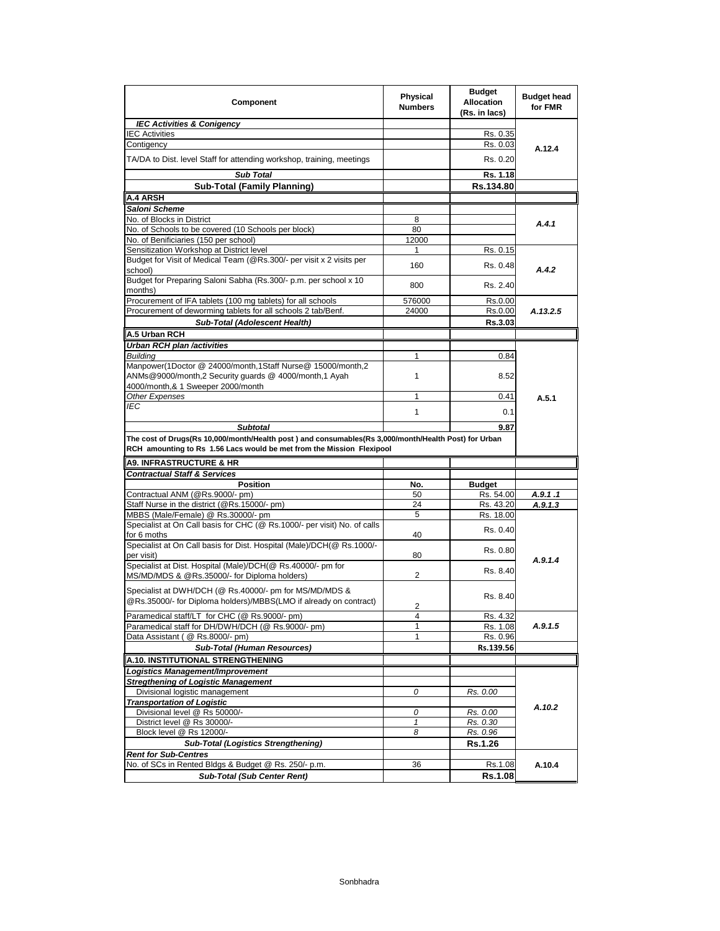| Component                                                                                                                                                                     | <b>Physical</b><br><b>Numbers</b> | <b>Budget</b><br><b>Allocation</b><br>(Rs. in lacs) | <b>Budget head</b><br>for FMR |
|-------------------------------------------------------------------------------------------------------------------------------------------------------------------------------|-----------------------------------|-----------------------------------------------------|-------------------------------|
| <b>IEC Activities &amp; Conigency</b>                                                                                                                                         |                                   |                                                     |                               |
| <b>IEC Activities</b>                                                                                                                                                         |                                   | Rs. 0.35                                            |                               |
| Contigency                                                                                                                                                                    |                                   | Rs. 0.03                                            | A.12.4                        |
| TA/DA to Dist. level Staff for attending workshop, training, meetings                                                                                                         |                                   | Rs. 0.20                                            |                               |
| <b>Sub Total</b>                                                                                                                                                              |                                   | Rs. 1.18                                            |                               |
| <b>Sub-Total (Family Planning)</b>                                                                                                                                            |                                   | Rs.134.80                                           |                               |
| A.4 ARSH                                                                                                                                                                      |                                   |                                                     |                               |
| Saloni Scheme                                                                                                                                                                 |                                   |                                                     |                               |
| No. of Blocks in District                                                                                                                                                     | 8                                 |                                                     | A.4.1                         |
| No. of Schools to be covered (10 Schools per block)                                                                                                                           | 80                                |                                                     |                               |
| No. of Benificiaries (150 per school)                                                                                                                                         | 12000                             |                                                     |                               |
| Sensitization Workshop at District level                                                                                                                                      | 1                                 | Rs. 0.15                                            |                               |
| Budget for Visit of Medical Team (@Rs.300/- per visit x 2 visits per<br>school)                                                                                               | 160                               | Rs. 0.48                                            | A.4.2                         |
| Budget for Preparing Saloni Sabha (Rs.300/- p.m. per school x 10<br>months)                                                                                                   | 800                               | Rs. 2.40                                            |                               |
| Procurement of IFA tablets (100 mg tablets) for all schools                                                                                                                   | 576000                            | Rs.0.00                                             |                               |
| Procurement of deworming tablets for all schools 2 tab/Benf.                                                                                                                  | 24000                             | Rs.0.00                                             | A.13.2.5                      |
| Sub-Total (Adolescent Health)                                                                                                                                                 |                                   | Rs.3.03                                             |                               |
| A.5 Urban RCH                                                                                                                                                                 |                                   |                                                     |                               |
| Urban RCH plan /activities                                                                                                                                                    |                                   |                                                     |                               |
| <b>Building</b>                                                                                                                                                               | 1                                 | 0.84                                                |                               |
| Manpower(1Doctor @ 24000/month,1Staff Nurse@ 15000/month,2                                                                                                                    |                                   |                                                     |                               |
| ANMs@9000/month,2 Security guards @ 4000/month,1 Ayah                                                                                                                         | $\mathbf{1}$                      | 8.52                                                |                               |
| 4000/month,& 1 Sweeper 2000/month<br>Other Expenses                                                                                                                           | 1                                 | 0.41                                                |                               |
| IEC                                                                                                                                                                           |                                   |                                                     | A.5.1                         |
|                                                                                                                                                                               | 1                                 | 0.1                                                 |                               |
| <b>Subtotal</b>                                                                                                                                                               |                                   | 9.87                                                |                               |
| The cost of Drugs(Rs 10,000/month/Health post) and consumables(Rs 3,000/month/Health Post) for Urban<br>RCH amounting to Rs 1.56 Lacs would be met from the Mission Flexipool |                                   |                                                     |                               |
| <b>A9. INFRASTRUCTURE &amp; HR</b>                                                                                                                                            |                                   |                                                     |                               |
| <b>Contractual Staff &amp; Services</b>                                                                                                                                       |                                   |                                                     |                               |
| <b>Position</b>                                                                                                                                                               | No.                               | <b>Budget</b>                                       |                               |
| Contractual ANM (@Rs.9000/- pm)                                                                                                                                               | 50                                | Rs. 54.00                                           | A.9.1.1                       |
| Staff Nurse in the district (@Rs.15000/- pm)                                                                                                                                  | 24                                | Rs. 43.20                                           | A.9.1.3                       |
| MBBS (Male/Female) @ Rs.30000/- pm<br>Specialist at On Call basis for CHC (@ Rs.1000/- per visit) No. of calls                                                                | 5                                 | Rs. 18.00                                           |                               |
| for 6 moths                                                                                                                                                                   | 40                                | Rs. 0.40                                            |                               |
| Specialist at On Call basis for Dist. Hospital (Male)/DCH(@ Rs.1000/-<br>per visit)                                                                                           | 80                                | Rs. 0.80                                            |                               |
| Specialist at Dist. Hospital (Male)/DCH(@ Rs.40000/- pm for                                                                                                                   |                                   |                                                     | A.9.1.4                       |
| MS/MD/MDS & @Rs.35000/- for Diploma holders)                                                                                                                                  | 2                                 | Rs. 8.40                                            |                               |
| Specialist at DWH/DCH (@ Rs.40000/- pm for MS/MD/MDS &<br>@Rs.35000/- for Diploma holders)/MBBS(LMO if already on contract)                                                   |                                   | Rs. 8.40                                            |                               |
|                                                                                                                                                                               | 2                                 |                                                     |                               |
| Paramedical staff/LT for CHC (@ Rs.9000/- pm)                                                                                                                                 | 4                                 | Rs. 4.32                                            |                               |
| Paramedical staff for DH/DWH/DCH (@ Rs.9000/- pm)                                                                                                                             | $\mathbf{1}$                      | Rs. 1.08                                            | A.9.1.5                       |
| Data Assistant ( @ Rs.8000/- pm)                                                                                                                                              | 1                                 | Rs. 0.96                                            |                               |
| <b>Sub-Total (Human Resources)</b>                                                                                                                                            |                                   | Rs.139.56                                           |                               |
| A.10. INSTITUTIONAL STRENGTHENING                                                                                                                                             |                                   |                                                     |                               |
| Logistics Management/Improvement                                                                                                                                              |                                   |                                                     |                               |
| <b>Stregthening of Logistic Management</b><br>Divisional logistic management                                                                                                  | 0                                 | Rs. 0.00                                            |                               |
| <b>Transportation of Logistic</b>                                                                                                                                             |                                   |                                                     |                               |
| Divisional level @ Rs 50000/-                                                                                                                                                 |                                   |                                                     |                               |
| District level @ Rs 30000/-                                                                                                                                                   | 0                                 | Rs. 0.00                                            | A.10.2                        |
|                                                                                                                                                                               | $\mathbf{1}$                      | Rs. 0.30                                            |                               |
| Block level @ Rs 12000/-                                                                                                                                                      | 8                                 | Rs. 0.96                                            |                               |
| <b>Sub-Total (Logistics Strengthening)</b>                                                                                                                                    |                                   | <b>Rs.1.26</b>                                      |                               |
| <b>Rent for Sub-Centres</b><br>No. of SCs in Rented Bldgs & Budget @ Rs. 250/- p.m.                                                                                           | 36                                | Rs.1.08                                             | A.10.4                        |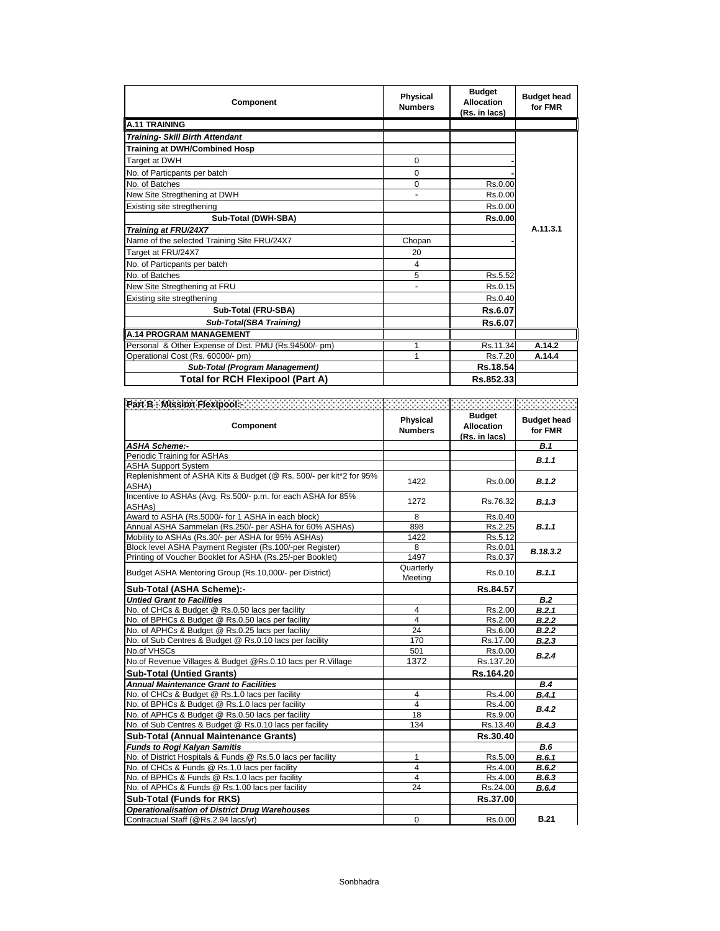| <b>Component</b>                                      | <b>Physical</b><br><b>Numbers</b> | <b>Budget</b><br><b>Allocation</b><br>(Rs. in lacs) | <b>Budget head</b><br>for FMR |
|-------------------------------------------------------|-----------------------------------|-----------------------------------------------------|-------------------------------|
| <b>A.11 TRAINING</b>                                  |                                   |                                                     |                               |
| <b>Training- Skill Birth Attendant</b>                |                                   |                                                     |                               |
| <b>Training at DWH/Combined Hosp</b>                  |                                   |                                                     |                               |
| Target at DWH                                         | $\Omega$                          |                                                     |                               |
| No. of Particpants per batch                          | $\Omega$                          |                                                     |                               |
| No. of Batches                                        | $\Omega$                          | Rs.0.00                                             |                               |
| New Site Stregthening at DWH                          |                                   | Rs.0.00                                             |                               |
| Existing site stregthening                            |                                   | Rs.0.00                                             |                               |
| Sub-Total (DWH-SBA)                                   |                                   | Rs.0.00                                             |                               |
| Training at FRU/24X7                                  |                                   |                                                     | A.11.3.1                      |
| Name of the selected Training Site FRU/24X7           | Chopan                            |                                                     |                               |
| Target at FRU/24X7                                    | 20                                |                                                     |                               |
| No. of Particpants per batch                          | 4                                 |                                                     |                               |
| No. of Batches                                        | 5                                 | Rs.5.52                                             |                               |
| New Site Stregthening at FRU                          |                                   | Rs.0.15                                             |                               |
| Existing site stregthening                            |                                   | Rs.0.40                                             |                               |
| Sub-Total (FRU-SBA)                                   |                                   | Rs.6.07                                             |                               |
| <b>Sub-Total(SBA Training)</b>                        |                                   | Rs.6.07                                             |                               |
| <b>A.14 PROGRAM MANAGEMENT</b>                        |                                   |                                                     |                               |
| Personal & Other Expense of Dist. PMU (Rs.94500/- pm) | 1                                 | Rs.11.34                                            | A.14.2                        |
| Operational Cost (Rs. 60000/- pm)                     | 1                                 | Rs.7.20                                             | A.14.4                        |
| Sub-Total (Program Management)                        |                                   | Rs.18.54                                            |                               |
| <b>Total for RCH Flexipool (Part A)</b>               |                                   | Rs.852.33                                           |                               |

| Part B - Mission Flexipedia - Andrew Marchand March (1999) - Andrew Marchand (1999) - Andrew Marchand |                            |                                                     |                               |
|-------------------------------------------------------------------------------------------------------|----------------------------|-----------------------------------------------------|-------------------------------|
| Component                                                                                             | Physical<br><b>Numbers</b> | <b>Budget</b><br><b>Allocation</b><br>(Rs. in lacs) | <b>Budget head</b><br>for FMR |
| <b>ASHA Scheme:-</b>                                                                                  |                            |                                                     | B.1                           |
| Periodic Training for ASHAs                                                                           |                            |                                                     | B.1.1                         |
| <b>ASHA Support System</b>                                                                            |                            |                                                     |                               |
| Replenishment of ASHA Kits & Budget (@ Rs. 500/- per kit*2 for 95%<br>ASHA)                           | 1422                       | Rs.0.00                                             | B.1.2                         |
| Incentive to ASHAs (Avg. Rs.500/- p.m. for each ASHA for 85%<br>ASHA <sub>s</sub> )                   | 1272                       | Rs.76.32                                            | B.1.3                         |
| Award to ASHA (Rs.5000/- for 1 ASHA in each block)                                                    | 8                          | Rs.0.40                                             |                               |
| Annual ASHA Sammelan (Rs.250/- per ASHA for 60% ASHAs)                                                | 898                        | Rs.2.25                                             | B.1.1                         |
| Mobility to ASHAs (Rs.30/- per ASHA for 95% ASHAs)                                                    | 1422                       | Rs.5.12                                             |                               |
| Block level ASHA Payment Register (Rs.100/-per Register)                                              | 8                          | Rs.0.01                                             | B.18.3.2                      |
| Printing of Voucher Booklet for ASHA (Rs.25/-per Booklet)                                             | 1497                       | Rs.0.37                                             |                               |
| Budget ASHA Mentoring Group (Rs.10,000/- per District)                                                | Quarterly<br>Meeting       | Rs.0.10                                             | B.1.1                         |
| Sub-Total (ASHA Scheme):-                                                                             |                            | Rs.84.57                                            |                               |
| <b>Untied Grant to Facilities</b>                                                                     |                            |                                                     | B.2                           |
| No. of CHCs & Budget @ Rs.0.50 lacs per facility                                                      | 4                          | Rs.2.00                                             | B.2.1                         |
| No. of BPHCs & Budget @ Rs.0.50 lacs per facility                                                     | $\overline{4}$             | Rs.2.00                                             | B.2.2                         |
| No. of APHCs & Budget @ Rs.0.25 lacs per facility                                                     | 24                         | Rs.6.00                                             | B.2.2                         |
| No. of Sub Centres & Budget @ Rs.0.10 lacs per facility                                               | 170                        | Rs.17.00                                            | B.2.3                         |
| No.of VHSCs                                                                                           | 501                        | Rs.0.00                                             | B.2.4                         |
| No.of Revenue Villages & Budget @Rs.0.10 lacs per R.Village                                           | 1372                       | Rs.137.20                                           |                               |
| <b>Sub-Total (Untied Grants)</b>                                                                      |                            | Rs.164.20                                           |                               |
| <b>Annual Maintenance Grant to Facilities</b>                                                         |                            |                                                     | B.4                           |
| No. of CHCs & Budget @ Rs.1.0 lacs per facility                                                       | 4                          | Rs.4.00                                             | B.4.1                         |
| No. of BPHCs & Budget @ Rs.1.0 lacs per facility                                                      | $\overline{4}$             | Rs.4.00                                             | B.4.2                         |
| No. of APHCs & Budget @ Rs.0.50 lacs per facility                                                     | 18                         | Rs.9.00                                             |                               |
| No. of Sub Centres & Budget @ Rs.0.10 lacs per facility                                               | 134                        | Rs.13.40                                            | B.4.3                         |
| <b>Sub-Total (Annual Maintenance Grants)</b>                                                          |                            | Rs.30.40                                            |                               |
| <b>Funds to Rogi Kalyan Samitis</b>                                                                   |                            |                                                     | <b>B.6</b>                    |
| No. of District Hospitals & Funds @ Rs.5.0 lacs per facility                                          | $\mathbf{1}$               | Rs.5.00                                             | B.6.1                         |
| No. of CHCs & Funds @ Rs.1.0 lacs per facility                                                        | 4                          | Rs.4.00                                             | B.6.2                         |
| No. of BPHCs & Funds @ Rs.1.0 lacs per facility                                                       | $\overline{4}$             | Rs.4.00                                             | B.6.3                         |
| No. of APHCs & Funds @ Rs.1.00 lacs per facility                                                      | 24                         | Rs.24.00                                            | B.6.4                         |
| Sub-Total (Funds for RKS)                                                                             |                            | Rs.37.00                                            |                               |
| <b>Operationalisation of District Drug Warehouses</b>                                                 |                            |                                                     |                               |
| Contractual Staff (@Rs.2.94 lacs/yr)                                                                  | $\Omega$                   | Rs.0.00                                             | <b>B.21</b>                   |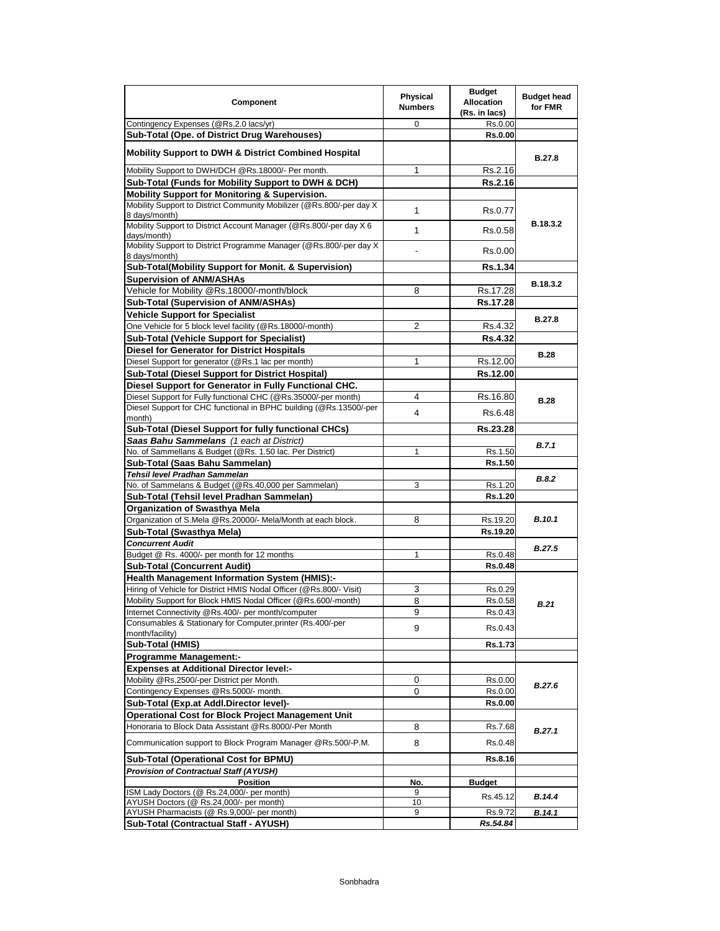| Component                                                                              | <b>Physical</b><br><b>Numbers</b> | <b>Budget</b><br><b>Allocation</b><br>(Rs. in lacs) | <b>Budget head</b><br>for FMR |
|----------------------------------------------------------------------------------------|-----------------------------------|-----------------------------------------------------|-------------------------------|
| Contingency Expenses (@Rs.2.0 lacs/yr)                                                 | 0                                 | Rs.0.00                                             |                               |
| Sub-Total (Ope. of District Drug Warehouses)                                           |                                   | <b>Rs.0.00</b>                                      |                               |
| <b>Mobility Support to DWH &amp; District Combined Hospital</b>                        |                                   |                                                     | <b>B.27.8</b>                 |
| Mobility Support to DWH/DCH @Rs.18000/- Per month.                                     | 1                                 | Rs.2.16                                             |                               |
| Sub-Total (Funds for Mobility Support to DWH & DCH)                                    |                                   | Rs.2.16                                             |                               |
| <b>Mobility Support for Monitoring &amp; Supervision.</b>                              |                                   |                                                     |                               |
| Mobility Support to District Community Mobilizer (@Rs.800/-per day X)<br>8 days/month) | 1                                 | Rs.0.77                                             |                               |
| Mobility Support to District Account Manager (@Rs.800/-per day X 6<br>days/month)      | $\mathbf{1}$                      | Rs.0.58                                             | B.18.3.2                      |
| Mobility Support to District Programme Manager (@Rs.800/-per day X<br>8 days/month)    |                                   | Rs.0.00                                             |                               |
| Sub-Total(Mobility Support for Monit. & Supervision)                                   |                                   | <b>Rs.1.34</b>                                      |                               |
| <b>Supervision of ANM/ASHAs</b>                                                        |                                   |                                                     | B.18.3.2                      |
| Vehicle for Mobility @Rs.18000/-month/block                                            | 8                                 | Rs.17.28                                            |                               |
| Sub-Total (Supervision of ANM/ASHAs)                                                   |                                   | Rs.17.28                                            |                               |
| <b>Vehicle Support for Specialist</b>                                                  |                                   |                                                     | <b>B.27.8</b>                 |
| One Vehicle for 5 block level facility (@Rs.18000/-month)                              | $\overline{2}$                    | Rs.4.32                                             |                               |
| <b>Sub-Total (Vehicle Support for Specialist)</b>                                      |                                   | <b>Rs.4.32</b>                                      |                               |
| <b>Diesel for Generator for District Hospitals</b>                                     |                                   |                                                     | <b>B.28</b>                   |
| Diesel Support for generator (@Rs.1 lac per month)                                     | 1                                 | Rs.12.00                                            |                               |
| Sub-Total (Diesel Support for District Hospital)                                       |                                   | Rs.12.00                                            |                               |
| Diesel Support for Generator in Fully Functional CHC.                                  |                                   |                                                     |                               |
| Diesel Support for Fully functional CHC (@Rs.35000/-per month)                         | 4                                 | Rs.16.80                                            | <b>B.28</b>                   |
| Diesel Support for CHC functional in BPHC building (@Rs.13500/-per<br>month)           | 4                                 | Rs.6.48                                             |                               |
| Sub-Total (Diesel Support for fully functional CHCs)                                   |                                   | Rs.23.28                                            |                               |
| Saas Bahu Sammelans (1 each at District)                                               |                                   |                                                     |                               |
| No. of Sammellans & Budget (@Rs. 1.50 lac. Per District)                               | 1                                 | Rs.1.50                                             | B.7.1                         |
| Sub-Total (Saas Bahu Sammelan)                                                         |                                   | Rs.1.50                                             |                               |
| Tehsil level Pradhan Sammelan                                                          |                                   |                                                     | <b>B.8.2</b>                  |
| No. of Sammelans & Budget (@Rs.40,000 per Sammelan)                                    | 3                                 | Rs.1.20                                             |                               |
| Sub-Total (Tehsil level Pradhan Sammelan)                                              |                                   | Rs.1.20                                             |                               |
| <b>Organization of Swasthya Mela</b>                                                   |                                   |                                                     |                               |
| Organization of S.Mela @Rs.20000/- Mela/Month at each block.                           | 8                                 | Rs.19.20                                            | <b>B.10.1</b>                 |
| Sub-Total (Swasthya Mela)                                                              |                                   | Rs.19.20                                            |                               |
| <b>Concurrent Audit</b>                                                                |                                   |                                                     | <b>B.27.5</b>                 |
| Budget @ Rs. 4000/- per month for 12 months                                            | 1                                 | Rs.0.48                                             |                               |
| <b>Sub-Total (Concurrent Audit)</b>                                                    |                                   | <b>Rs.0.48</b>                                      |                               |
| <b>Health Management Information System (HMIS):-</b>                                   |                                   |                                                     |                               |
| Hiring of Vehicle for District HMIS Nodal Officer (@Rs.800/- Visit)                    | 3                                 | Rs.0.29                                             |                               |
| Mobility Support for Block HMIS Nodal Officer (@Rs.600/-month)                         | 8                                 | Rs.0.58                                             | B.21                          |
| Internet Connectivity @Rs.400/- per month/computer                                     | 9                                 | Rs.0.43                                             |                               |
| Consumables & Stationary for Computer, printer (Rs.400/-per<br>month/facility)         | 9                                 | Rs.0.43                                             |                               |
| Sub-Total (HMIS)                                                                       |                                   | <b>Rs.1.73</b>                                      |                               |
| <b>Programme Management:-</b>                                                          |                                   |                                                     |                               |
| <b>Expenses at Additional Director level:-</b>                                         |                                   |                                                     |                               |
| Mobility @Rs.2500/-per District per Month.                                             | 0                                 | Rs.0.00                                             |                               |
| Contingency Expenses @Rs.5000/- month.                                                 | 0                                 | Rs.0.00                                             | B.27.6                        |
| Sub-Total (Exp.at Addl.Director level)-                                                |                                   | <b>Rs.0.00</b>                                      |                               |
| <b>Operational Cost for Block Project Management Unit</b>                              |                                   |                                                     |                               |
| Honoraria to Block Data Assistant @Rs.8000/-Per Month                                  | 8                                 | Rs.7.68                                             |                               |
| Communication support to Block Program Manager @Rs.500/-P.M.                           | 8                                 | Rs.0.48                                             | B.27.1                        |
|                                                                                        |                                   |                                                     |                               |
| Sub-Total (Operational Cost for BPMU)                                                  |                                   | Rs.8.16                                             |                               |
| <b>Provision of Contractual Staff (AYUSH)</b>                                          |                                   |                                                     |                               |
| <b>Position</b><br>ISM Lady Doctors (@ Rs.24,000/- per month)                          | No.<br>9                          | Budget                                              |                               |
| AYUSH Doctors (@ Rs.24,000/- per month)                                                | 10                                | Rs.45.12                                            | B.14.4                        |
| AYUSH Pharmacists (@ Rs.9,000/- per month)                                             | 9                                 | Rs.9.72                                             | B.14.1                        |
| Sub-Total (Contractual Staff - AYUSH)                                                  |                                   | Rs.54.84                                            |                               |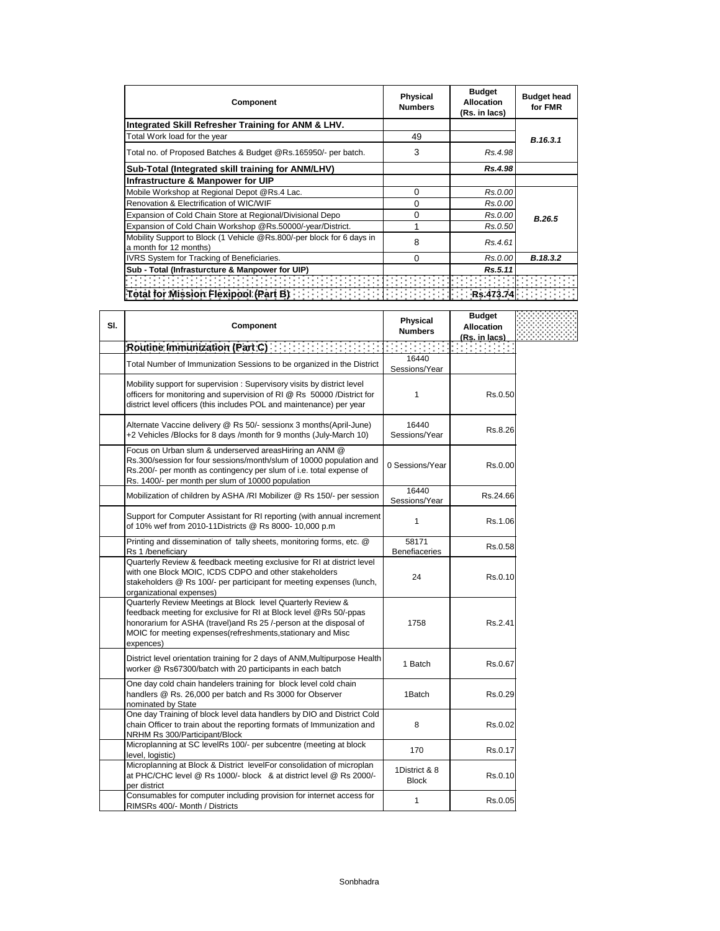| Component                                                                                                     | <b>Physical</b><br><b>Numbers</b> | <b>Budget</b><br><b>Allocation</b><br>(Rs. in lacs) | <b>Budget head</b><br>for FMR |
|---------------------------------------------------------------------------------------------------------------|-----------------------------------|-----------------------------------------------------|-------------------------------|
| Integrated Skill Refresher Training for ANM & LHV.                                                            |                                   |                                                     |                               |
| Total Work load for the year                                                                                  | 49                                |                                                     | B.16.3.1                      |
| Total no. of Proposed Batches & Budget @Rs.165950/- per batch.                                                | 3                                 | Rs.4.98                                             |                               |
| Sub-Total (Integrated skill training for ANM/LHV)                                                             |                                   | Rs.4.98                                             |                               |
| Infrastructure & Manpower for UIP                                                                             |                                   |                                                     |                               |
| Mobile Workshop at Regional Depot @Rs.4 Lac.                                                                  | $\Omega$                          | Rs.0.00                                             |                               |
| Renovation & Electrification of WIC/WIF                                                                       | $\Omega$                          | Rs.0.00                                             |                               |
| Expansion of Cold Chain Store at Regional/Divisional Depo                                                     | $\Omega$                          | Rs.0.00                                             | B.26.5                        |
| Expansion of Cold Chain Workshop @Rs.50000/-year/District.                                                    |                                   | Rs.0.50                                             |                               |
| Mobility Support to Block (1 Vehicle @Rs.800/-per block for 6 days in<br>a month for 12 months)               | 8                                 | Rs.4.61                                             |                               |
| <b>IVRS System for Tracking of Beneficiaries.</b>                                                             | 0                                 | Rs.0.00                                             | B.18.3.2                      |
| Sub - Total (Infrasturcture & Manpower for UIP)                                                               |                                   | Rs.5.11                                             |                               |
|                                                                                                               |                                   |                                                     |                               |
| Total for Mission Flexipool (Part B) [1999] [1999] [1999] [1999] [1999] [1999] [1999] [1999] [1999] [1999] [1 |                                   |                                                     |                               |

| SI. | <b>Component</b>                                                                                                                                                                                                                                                                   | <b>Physical</b><br><b>Numbers</b> | <b>Budget</b><br><b>Allocation</b><br>(Rs. in lacs) |  |
|-----|------------------------------------------------------------------------------------------------------------------------------------------------------------------------------------------------------------------------------------------------------------------------------------|-----------------------------------|-----------------------------------------------------|--|
|     | Routine Immunization (Part C)                                                                                                                                                                                                                                                      | and the company                   |                                                     |  |
|     | Total Number of Immunization Sessions to be organized in the District                                                                                                                                                                                                              | 16440<br>Sessions/Year            |                                                     |  |
|     | Mobility support for supervision : Supervisory visits by district level<br>officers for monitoring and supervision of RI @ Rs 50000 /District for<br>district level officers (this includes POL and maintenance) per year                                                          | 1                                 | Rs.0.50                                             |  |
|     | Alternate Vaccine delivery @ Rs 50/- sessionx 3 months(April-June)<br>+2 Vehicles /Blocks for 8 days /month for 9 months (July-March 10)                                                                                                                                           | 16440<br>Sessions/Year            | Rs.8.26                                             |  |
|     | Focus on Urban slum & underserved areasHiring an ANM @<br>Rs.300/session for four sessions/month/slum of 10000 population and<br>Rs.200/- per month as contingency per slum of i.e. total expense of<br>Rs. 1400/- per month per slum of 10000 population                          | 0 Sessions/Year                   | Rs.0.00                                             |  |
|     | Mobilization of children by ASHA /RI Mobilizer @ Rs 150/- per session                                                                                                                                                                                                              | 16440<br>Sessions/Year            | Rs.24.66                                            |  |
|     | Support for Computer Assistant for RI reporting (with annual increment<br>of 10% wef from 2010-11Districts @ Rs 8000- 10,000 p.m                                                                                                                                                   | 1                                 | Rs.1.06                                             |  |
|     | Printing and dissemination of tally sheets, monitoring forms, etc. @<br>Rs 1 /beneficiary                                                                                                                                                                                          | 58171<br><b>Benefiaceries</b>     | Rs.0.58                                             |  |
|     | Quarterly Review & feedback meeting exclusive for RI at district level<br>with one Block MOIC, ICDS CDPO and other stakeholders<br>stakeholders @ Rs 100/- per participant for meeting expenses (lunch,<br>organizational expenses)                                                | 24                                | Rs.0.10                                             |  |
|     | Quarterly Review Meetings at Block level Quarterly Review &<br>feedback meeting for exclusive for RI at Block level @Rs 50/-ppas<br>honorarium for ASHA (travel)and Rs 25 /-person at the disposal of<br>MOIC for meeting expenses (refreshments, stationary and Misc<br>expences) | 1758                              | Rs.2.41                                             |  |
|     | District level orientation training for 2 days of ANM, Multipurpose Health<br>worker @ Rs67300/batch with 20 participants in each batch                                                                                                                                            | 1 Batch                           | Rs.0.67                                             |  |
|     | One day cold chain handelers training for block level cold chain<br>handlers @ Rs. 26,000 per batch and Rs 3000 for Observer<br>nominated by State                                                                                                                                 | 1Batch                            | Rs.0.29                                             |  |
|     | One day Training of block level data handlers by DIO and District Cold<br>chain Officer to train about the reporting formats of Immunization and<br>NRHM Rs 300/Participant/Block                                                                                                  | 8                                 | Rs.0.02                                             |  |
|     | Microplanning at SC levelRs 100/- per subcentre (meeting at block<br>level, logistic)                                                                                                                                                                                              | 170                               | Rs.0.17                                             |  |
|     | Microplanning at Block & District levelFor consolidation of microplan<br>at PHC/CHC level @ Rs 1000/- block & at district level @ Rs 2000/-<br>per district                                                                                                                        | 1District & 8<br><b>Block</b>     | Rs.0.10                                             |  |
|     | Consumables for computer including provision for internet access for<br>RIMSRs 400/- Month / Districts                                                                                                                                                                             | 1                                 | Rs.0.05                                             |  |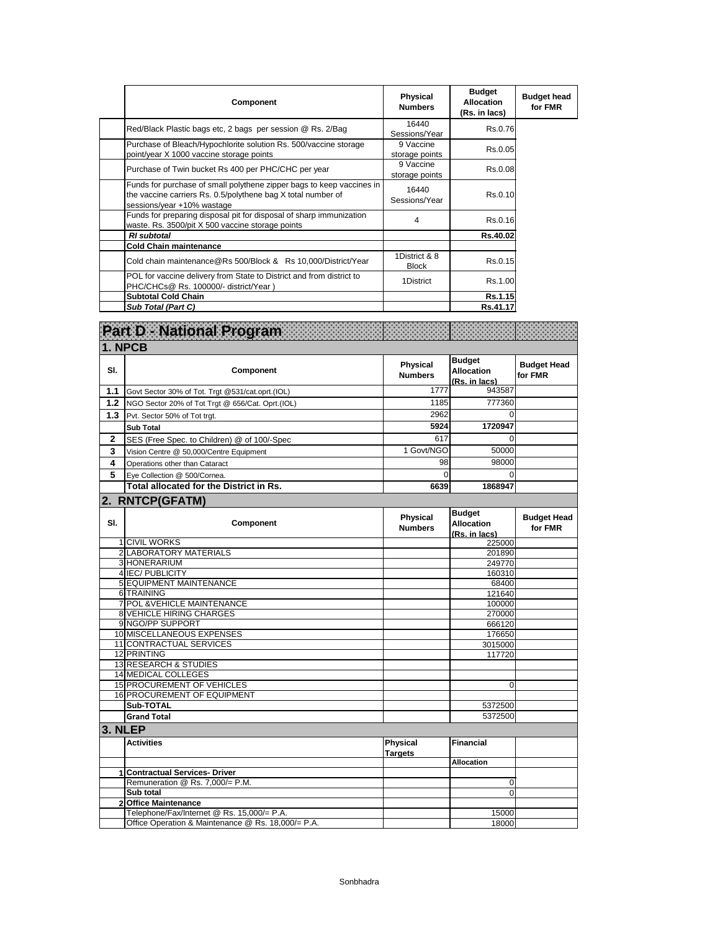| <b>Component</b>                                                                                                                                                    | Physical<br><b>Numbers</b>    | <b>Budget</b><br><b>Allocation</b><br>(Rs. in lacs) | <b>Budget head</b><br>for FMR |
|---------------------------------------------------------------------------------------------------------------------------------------------------------------------|-------------------------------|-----------------------------------------------------|-------------------------------|
| Red/Black Plastic bags etc, 2 bags per session @ Rs. 2/Bag                                                                                                          | 16440<br>Sessions/Year        | Rs.0.76                                             |                               |
| Purchase of Bleach/Hypochlorite solution Rs. 500/vaccine storage<br>point/year X 1000 vaccine storage points                                                        | 9 Vaccine<br>storage points   | Rs.0.05                                             |                               |
| Purchase of Twin bucket Rs 400 per PHC/CHC per year                                                                                                                 | 9 Vaccine<br>storage points   | Rs.0.08                                             |                               |
| Funds for purchase of small polythene zipper bags to keep vaccines in<br>the vaccine carriers Rs. 0.5/polythene bag X total number of<br>sessions/year +10% wastage | 16440<br>Sessions/Year        | Rs.0.10                                             |                               |
| Funds for preparing disposal pit for disposal of sharp immunization<br>waste. Rs. 3500/pit X 500 vaccine storage points                                             | 4                             | Rs.0.16                                             |                               |
| <b>RI</b> subtotal                                                                                                                                                  |                               | Rs.40.02                                            |                               |
| <b>Cold Chain maintenance</b>                                                                                                                                       |                               |                                                     |                               |
| Cold chain maintenance@Rs 500/Block & Rs 10,000/District/Year                                                                                                       | 1District & 8<br><b>Block</b> | Rs.0.15                                             |                               |
| POL for vaccine delivery from State to District and from district to<br>PHC/CHCs@ Rs. 100000/- district/Year)                                                       | 1District                     | Rs.1.00                                             |                               |
| <b>Subtotal Cold Chain</b>                                                                                                                                          |                               | Rs.1.15                                             |                               |
| Sub Total (Part C)                                                                                                                                                  |                               | Rs.41.17                                            |                               |

|                  | Part D - National Program                                      |                                   |                                                     |                               |
|------------------|----------------------------------------------------------------|-----------------------------------|-----------------------------------------------------|-------------------------------|
|                  | 1. NPCB                                                        |                                   |                                                     |                               |
| SI.              | Component                                                      | <b>Physical</b><br><b>Numbers</b> | <b>Budget</b><br><b>Allocation</b><br>(Rs. in lacs) | <b>Budget Head</b><br>for FMR |
| 1.1              | Govt Sector 30% of Tot. Trgt @531/cat.oprt.(IOL)               | 1777                              | 943587                                              |                               |
| 1.2 <sub>2</sub> | NGO Sector 20% of Tot Trgt @ 656/Cat. Oprt.(IOL)               | 1185                              | 777360                                              |                               |
| 1.3              | Pvt. Sector 50% of Tot trgt.                                   | 2962                              | $\Omega$                                            |                               |
|                  | <b>Sub Total</b>                                               | 5924                              | 1720947                                             |                               |
| $\mathbf{2}$     | SES (Free Spec. to Children) @ of 100/-Spec                    | 617                               | $\Omega$                                            |                               |
| 3                | Vision Centre @ 50,000/Centre Equipment                        | 1 Govt/NGO                        | 50000                                               |                               |
| 4                |                                                                | 98                                | 98000                                               |                               |
|                  | Operations other than Cataract                                 | 0                                 |                                                     |                               |
| 5                | Eye Collection @ 500/Cornea.                                   |                                   | 0                                                   |                               |
|                  | Total allocated for the District in Rs.                        | 6639                              | 1868947                                             |                               |
|                  | 2. RNTCP(GFATM)                                                |                                   |                                                     |                               |
| SI.              | Component                                                      | <b>Physical</b><br><b>Numbers</b> | <b>Budget</b><br><b>Allocation</b><br>(Rs. in lacs) | <b>Budget Head</b><br>for FMR |
|                  | 1 CIVIL WORKS                                                  |                                   | 225000                                              |                               |
|                  | 2 LABORATORY MATERIALS                                         |                                   | 201890                                              |                               |
|                  | 3 HONERARIUM                                                   |                                   | 249770                                              |                               |
|                  | 4 IEC/ PUBLICITY                                               |                                   | 160310                                              |                               |
|                  | <b>5 EQUIPMENT MAINTENANCE</b>                                 |                                   | 68400                                               |                               |
|                  | 6 TRAINING                                                     |                                   | 121640                                              |                               |
|                  | 7 POL & VEHICLE MAINTENANCE<br><b>8 VEHICLE HIRING CHARGES</b> |                                   | 100000                                              |                               |
|                  | 9 NGO/PP SUPPORT                                               |                                   | 270000                                              |                               |
|                  | 10 MISCELLANEOUS EXPENSES                                      |                                   | 666120<br>176650                                    |                               |
|                  | 11 CONTRACTUAL SERVICES                                        |                                   | 3015000                                             |                               |
|                  | 12 PRINTING                                                    |                                   | 117720                                              |                               |
|                  | <b>13 RESEARCH &amp; STUDIES</b>                               |                                   |                                                     |                               |
|                  | <b>14 MEDICAL COLLEGES</b>                                     |                                   |                                                     |                               |
|                  | <b>15 PROCUREMENT OF VEHICLES</b>                              |                                   | $\mathbf 0$                                         |                               |
|                  | 16 PROCUREMENT OF EQUIPMENT                                    |                                   |                                                     |                               |
|                  | Sub-TOTAL                                                      |                                   | 5372500                                             |                               |
|                  | <b>Grand Total</b>                                             |                                   | 5372500                                             |                               |
|                  | 3. NLEP                                                        |                                   |                                                     |                               |
|                  | <b>Activities</b>                                              | Physical<br><b>Targets</b>        | <b>Financial</b>                                    |                               |
|                  |                                                                |                                   | <b>Allocation</b>                                   |                               |
|                  | 1 Contractual Services- Driver                                 |                                   |                                                     |                               |
|                  | Remuneration @ Rs. 7,000/= P.M.                                |                                   | 0                                                   |                               |
|                  | Sub total                                                      |                                   | $\Omega$                                            |                               |
|                  | 2 Office Maintenance                                           |                                   |                                                     |                               |
|                  | Telephone/Fax/Internet @ Rs. 15,000/= P.A.                     |                                   | 15000                                               |                               |
|                  | Office Operation & Maintenance @ Rs. 18,000/= P.A.             |                                   | 18000                                               |                               |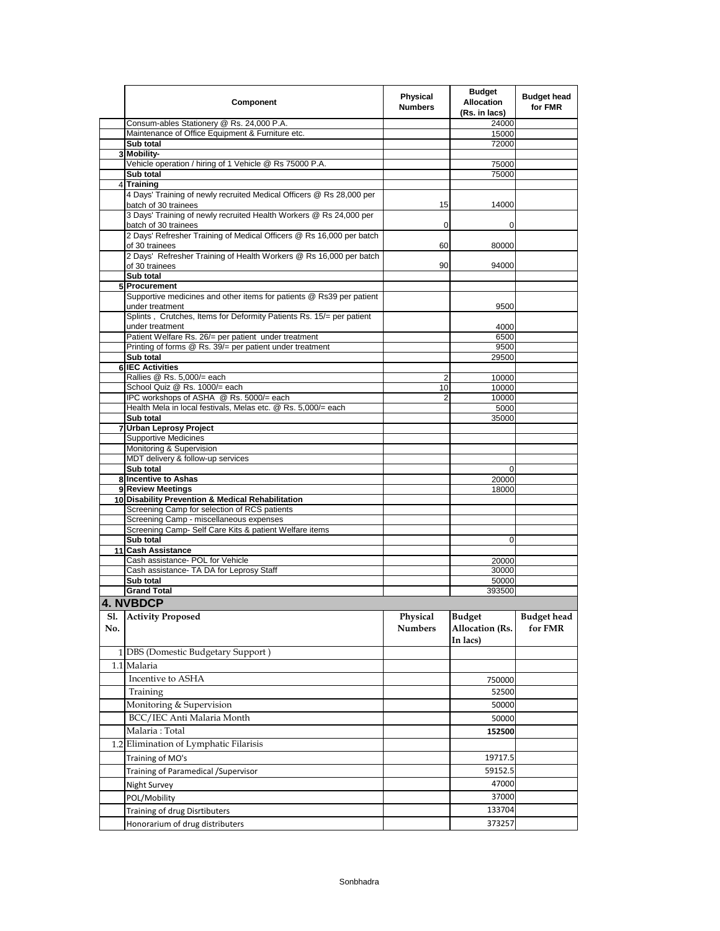|            | Component                                                                                         | Physical<br><b>Numbers</b> | <b>Budget</b><br><b>Allocation</b><br>(Rs. in lacs) | <b>Budget head</b><br>for FMR |
|------------|---------------------------------------------------------------------------------------------------|----------------------------|-----------------------------------------------------|-------------------------------|
|            | Consum-ables Stationery @ Rs. 24,000 P.A.                                                         |                            | 24000                                               |                               |
|            | Maintenance of Office Equipment & Furniture etc.                                                  |                            | 15000<br>72000                                      |                               |
|            | Sub total<br>3 Mobility-                                                                          |                            |                                                     |                               |
|            | Vehicle operation / hiring of 1 Vehicle @ Rs 75000 P.A.                                           |                            | 75000                                               |                               |
|            | Sub total                                                                                         |                            | 75000                                               |                               |
|            | 4 Training                                                                                        |                            |                                                     |                               |
|            | 4 Days' Training of newly recruited Medical Officers @ Rs 28,000 per<br>batch of 30 trainees      | 15                         | 14000                                               |                               |
|            | 3 Days' Training of newly recruited Health Workers @ Rs 24,000 per<br>batch of 30 trainees        | 0                          | 0                                                   |                               |
|            | 2 Days' Refresher Training of Medical Officers @ Rs 16,000 per batch<br>of 30 trainees            | 60                         | 80000                                               |                               |
|            | 2 Days' Refresher Training of Health Workers @ Rs 16,000 per batch<br>of 30 trainees              | 90                         | 94000                                               |                               |
|            | Sub total<br>5 Procurement                                                                        |                            |                                                     |                               |
|            | Supportive medicines and other items for patients @ Rs39 per patient                              |                            |                                                     |                               |
|            | under treatment                                                                                   |                            | 9500                                                |                               |
|            | Splints, Crutches, Items for Deformity Patients Rs. 15/= per patient<br>under treatment           |                            | 4000                                                |                               |
|            | Patient Welfare Rs. 26/= per patient under treatment                                              |                            | 6500                                                |                               |
|            | Printing of forms @ Rs. 39/= per patient under treatment                                          |                            | 9500                                                |                               |
|            | Sub total                                                                                         |                            | 29500                                               |                               |
|            | <b>6 IEC Activities</b><br>Rallies @ Rs. 5,000/= each                                             | 2                          | 10000                                               |                               |
|            | School Quiz @ Rs. 1000/= each                                                                     | 10                         | 10000                                               |                               |
|            | IPC workshops of ASHA @ Rs. 5000/= each                                                           | $\overline{2}$             | 10000                                               |                               |
|            | Health Mela in local festivals, Melas etc. @ Rs. 5,000/= each                                     |                            | 5000                                                |                               |
|            | Sub total                                                                                         |                            | 35000                                               |                               |
|            | 7 Urban Leprosy Project<br><b>Supportive Medicines</b>                                            |                            |                                                     |                               |
|            | Monitoring & Supervision                                                                          |                            |                                                     |                               |
|            | MDT delivery & follow-up services                                                                 |                            |                                                     |                               |
|            | Sub total                                                                                         |                            | 0                                                   |                               |
|            | 8 Incentive to Ashas                                                                              |                            | 20000                                               |                               |
|            | 9 Review Meetings                                                                                 |                            | 18000                                               |                               |
|            | 10 Disability Prevention & Medical Rehabilitation<br>Screening Camp for selection of RCS patients |                            |                                                     |                               |
|            | Screening Camp - miscellaneous expenses                                                           |                            |                                                     |                               |
|            | Screening Camp- Self Care Kits & patient Welfare items                                            |                            |                                                     |                               |
|            | Sub total                                                                                         |                            | 0                                                   |                               |
|            | 11 Cash Assistance                                                                                |                            |                                                     |                               |
|            | Cash assistance- POL for Vehicle                                                                  |                            | 20000                                               |                               |
|            | Cash assistance- TA DA for Leprosy Staff<br>Sub total                                             |                            | 30000<br>50000                                      |                               |
|            | <b>Grand Total</b>                                                                                |                            | 393500                                              |                               |
|            | 4. NVBDCP                                                                                         |                            |                                                     |                               |
| S1.<br>No. | <b>Activity Proposed</b>                                                                          | Physical<br><b>Numbers</b> | <b>Budget</b><br>Allocation (Rs.<br>In lacs)        | <b>Budget head</b><br>for FMR |
|            | 1 DBS (Domestic Budgetary Support)                                                                |                            |                                                     |                               |
|            | 1.1 Malaria                                                                                       |                            |                                                     |                               |
|            | Incentive to ASHA                                                                                 |                            | 750000                                              |                               |
|            | Training                                                                                          |                            | 52500                                               |                               |
|            | Monitoring & Supervision                                                                          |                            | 50000                                               |                               |
|            | BCC/IEC Anti Malaria Month                                                                        |                            | 50000                                               |                               |
|            | Malaria: Total                                                                                    |                            | 152500                                              |                               |
|            | 1.2 Elimination of Lymphatic Filarisis                                                            |                            |                                                     |                               |
|            |                                                                                                   |                            | 19717.5                                             |                               |
|            | Training of MO's                                                                                  |                            |                                                     |                               |
|            | Training of Paramedical / Supervisor                                                              |                            | 59152.5                                             |                               |
|            | Night Survey                                                                                      |                            | 47000                                               |                               |
|            | POL/Mobility                                                                                      |                            | 37000<br>133704                                     |                               |
|            | Training of drug Disrtibuters                                                                     |                            |                                                     |                               |
|            | Honorarium of drug distributers                                                                   |                            | 373257                                              |                               |